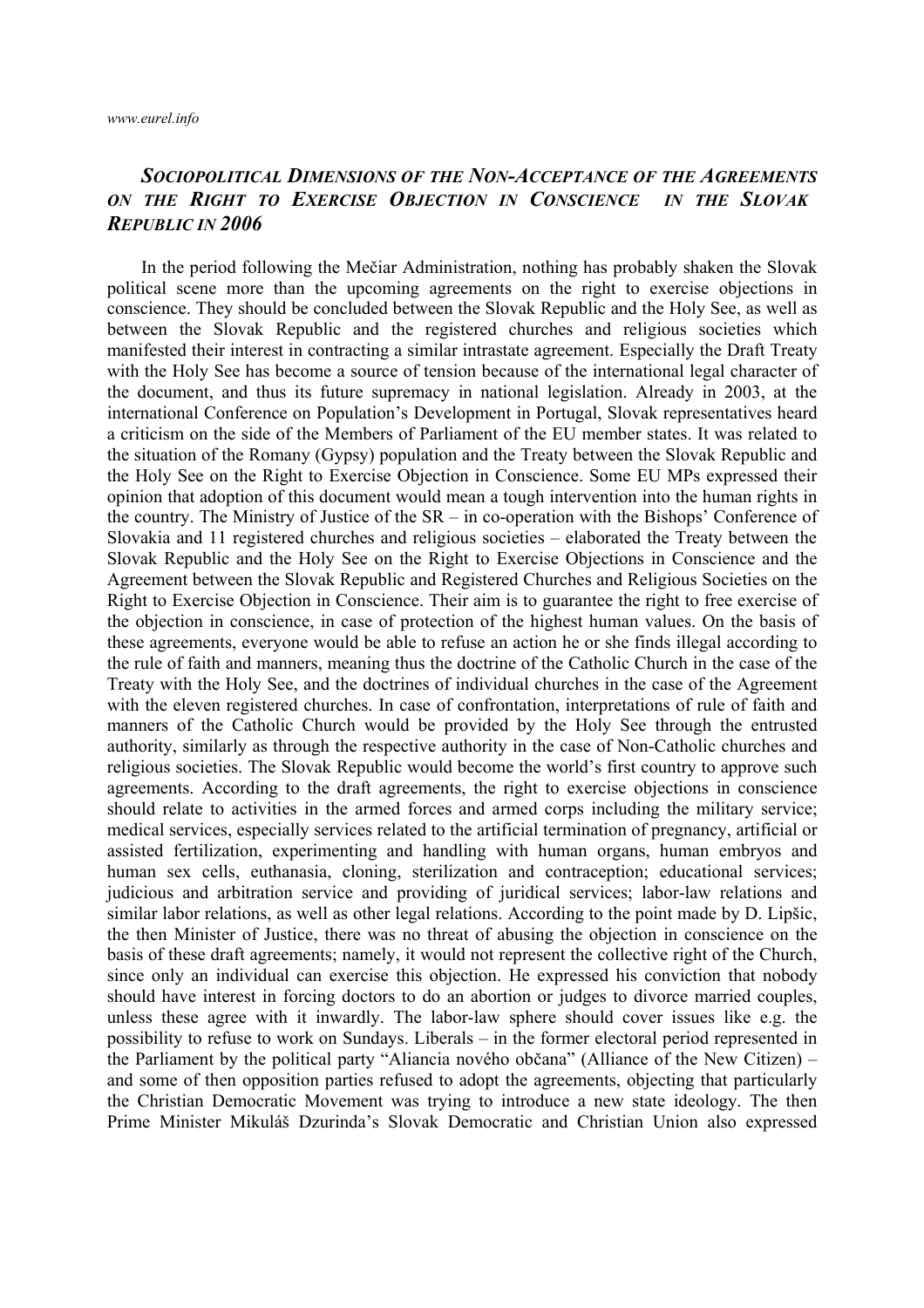## *SOCIOPOLITICAL DIMENSIONS OF THE NON-ACCEPTANCE OF THE AGREEMENTS ON THE RIGHT TO EXERCISE OBJECTION IN CONSCIENCE IN THE SLOVAK REPUBLIC IN 2006*

In the period following the Mečiar Administration, nothing has probably shaken the Slovak political scene more than the upcoming agreements on the right to exercise objections in conscience. They should be concluded between the Slovak Republic and the Holy See, as well as between the Slovak Republic and the registered churches and religious societies which manifested their interest in contracting a similar intrastate agreement. Especially the Draft Treaty with the Holy See has become a source of tension because of the international legal character of the document, and thus its future supremacy in national legislation. Already in 2003, at the international Conference on Population's Development in Portugal, Slovak representatives heard a criticism on the side of the Members of Parliament of the EU member states. It was related to the situation of the Romany (Gypsy) population and the Treaty between the Slovak Republic and the Holy See on the Right to Exercise Objection in Conscience. Some EU MPs expressed their opinion that adoption of this document would mean a tough intervention into the human rights in the country. The Ministry of Justice of the SR – in co-operation with the Bishops' Conference of Slovakia and 11 registered churches and religious societies – elaborated the Treaty between the Slovak Republic and the Holy See on the Right to Exercise Objections in Conscience and the Agreement between the Slovak Republic and Registered Churches and Religious Societies on the Right to Exercise Objection in Conscience. Their aim is to guarantee the right to free exercise of the objection in conscience, in case of protection of the highest human values. On the basis of these agreements, everyone would be able to refuse an action he or she finds illegal according to the rule of faith and manners, meaning thus the doctrine of the Catholic Church in the case of the Treaty with the Holy See, and the doctrines of individual churches in the case of the Agreement with the eleven registered churches. In case of confrontation, interpretations of rule of faith and manners of the Catholic Church would be provided by the Holy See through the entrusted authority, similarly as through the respective authority in the case of Non-Catholic churches and religious societies. The Slovak Republic would become the world's first country to approve such agreements. According to the draft agreements, the right to exercise objections in conscience should relate to activities in the armed forces and armed corps including the military service; medical services, especially services related to the artificial termination of pregnancy, artificial or assisted fertilization, experimenting and handling with human organs, human embryos and human sex cells, euthanasia, cloning, sterilization and contraception; educational services; judicious and arbitration service and providing of juridical services; labor-law relations and similar labor relations, as well as other legal relations. According to the point made by D. Lipšic, the then Minister of Justice, there was no threat of abusing the objection in conscience on the basis of these draft agreements; namely, it would not represent the collective right of the Church, since only an individual can exercise this objection. He expressed his conviction that nobody should have interest in forcing doctors to do an abortion or judges to divorce married couples, unless these agree with it inwardly. The labor-law sphere should cover issues like e.g. the possibility to refuse to work on Sundays. Liberals – in the former electoral period represented in the Parliament by the political party "Aliancia nového občana" (Alliance of the New Citizen) – and some of then opposition parties refused to adopt the agreements, objecting that particularly the Christian Democratic Movement was trying to introduce a new state ideology. The then Prime Minister Mikuláš Dzurinda's Slovak Democratic and Christian Union also expressed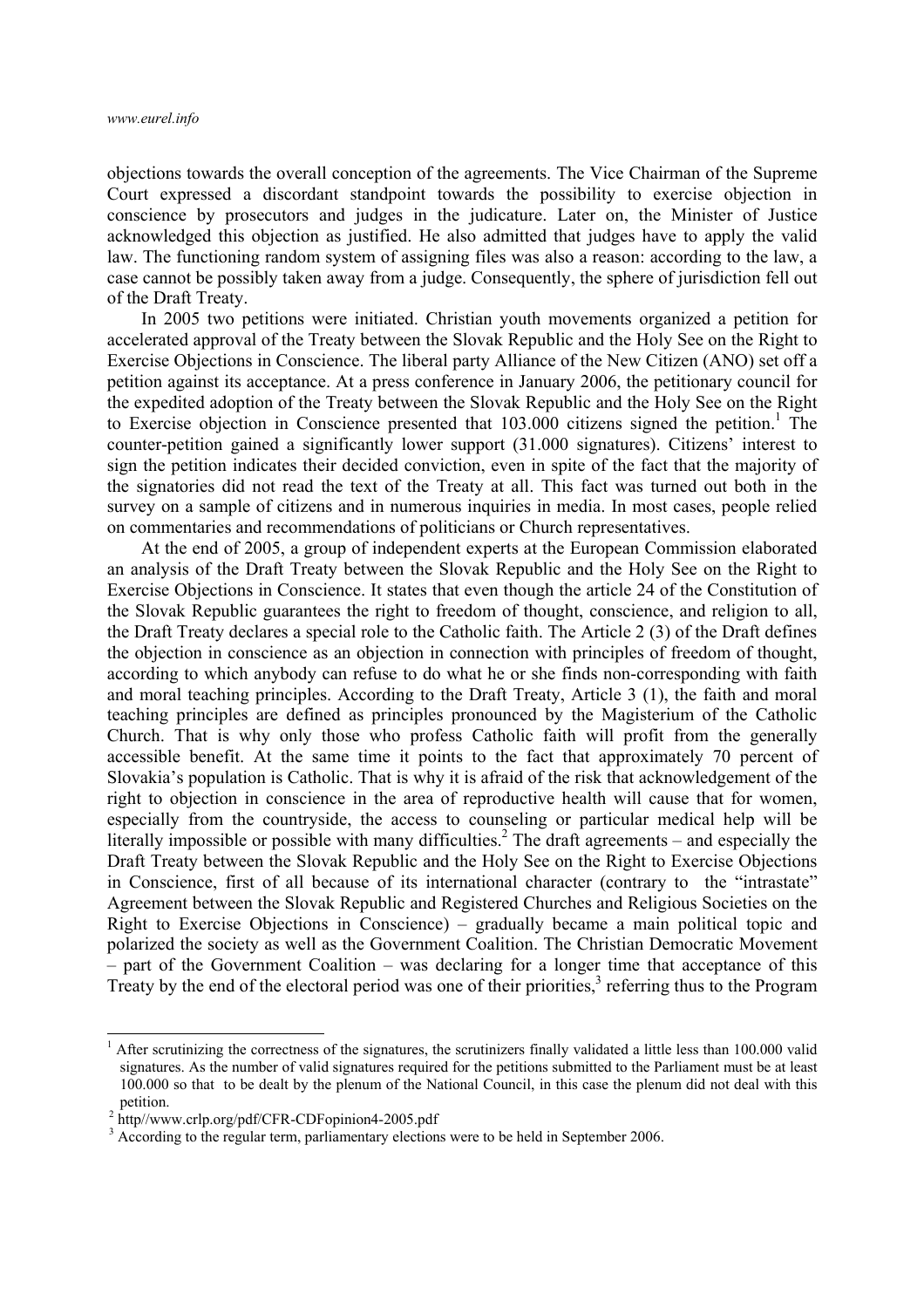objections towards the overall conception of the agreements. The Vice Chairman of the Supreme Court expressed a discordant standpoint towards the possibility to exercise objection in conscience by prosecutors and judges in the judicature. Later on, the Minister of Justice acknowledged this objection as justified. He also admitted that judges have to apply the valid law. The functioning random system of assigning files was also a reason: according to the law, a case cannot be possibly taken away from a judge. Consequently, the sphere of jurisdiction fell out of the Draft Treaty.

In 2005 two petitions were initiated. Christian youth movements organized a petition for accelerated approval of the Treaty between the Slovak Republic and the Holy See on the Right to Exercise Objections in Conscience. The liberal party Alliance of the New Citizen (ANO) set off a petition against its acceptance. At a press conference in January 2006, the petitionary council for the expedited adoption of the Treaty between the Slovak Republic and the Holy See on the Right to Exercise objection in Conscience presented that  $103.000$  citizens signed the petition.<sup>1</sup> The counter-petition gained a significantly lower support (31.000 signatures). Citizens' interest to sign the petition indicates their decided conviction, even in spite of the fact that the majority of the signatories did not read the text of the Treaty at all. This fact was turned out both in the survey on a sample of citizens and in numerous inquiries in media. In most cases, people relied on commentaries and recommendations of politicians or Church representatives.

At the end of 2005, a group of independent experts at the European Commission elaborated an analysis of the Draft Treaty between the Slovak Republic and the Holy See on the Right to Exercise Objections in Conscience. It states that even though the article 24 of the Constitution of the Slovak Republic guarantees the right to freedom of thought, conscience, and religion to all, the Draft Treaty declares a special role to the Catholic faith. The Article 2 (3) of the Draft defines the objection in conscience as an objection in connection with principles of freedom of thought, according to which anybody can refuse to do what he or she finds non-corresponding with faith and moral teaching principles. According to the Draft Treaty, Article 3 (1), the faith and moral teaching principles are defined as principles pronounced by the Magisterium of the Catholic Church. That is why only those who profess Catholic faith will profit from the generally accessible benefit. At the same time it points to the fact that approximately 70 percent of Slovakia's population is Catholic. That is why it is afraid of the risk that acknowledgement of the right to objection in conscience in the area of reproductive health will cause that for women, especially from the countryside, the access to counseling or particular medical help will be literally impossible or possible with many difficulties.<sup>2</sup> The draft agreements – and especially the Draft Treaty between the Slovak Republic and the Holy See on the Right to Exercise Objections in Conscience, first of all because of its international character (contrary to the "intrastate" Agreement between the Slovak Republic and Registered Churches and Religious Societies on the Right to Exercise Objections in Conscience) – gradually became a main political topic and polarized the society as well as the Government Coalition. The Christian Democratic Movement – part of the Government Coalition – was declaring for a longer time that acceptance of this Treaty by the end of the electoral period was one of their priorities, $3$  referring thus to the Program

1

<sup>1</sup> After scrutinizing the correctness of the signatures, the scrutinizers finally validated a little less than 100.000 valid signatures. As the number of valid signatures required for the petitions submitted to the Parliament must be at least 100.000 so that to be dealt by the plenum of the National Council, in this case the plenum did not deal with this petition.<br><sup>2</sup> http//www.crlp.org/pdf/CFR-CDFopinion4-2005.pdf

<sup>&</sup>lt;sup>3</sup> According to the regular term, parliamentary elections were to be held in September 2006.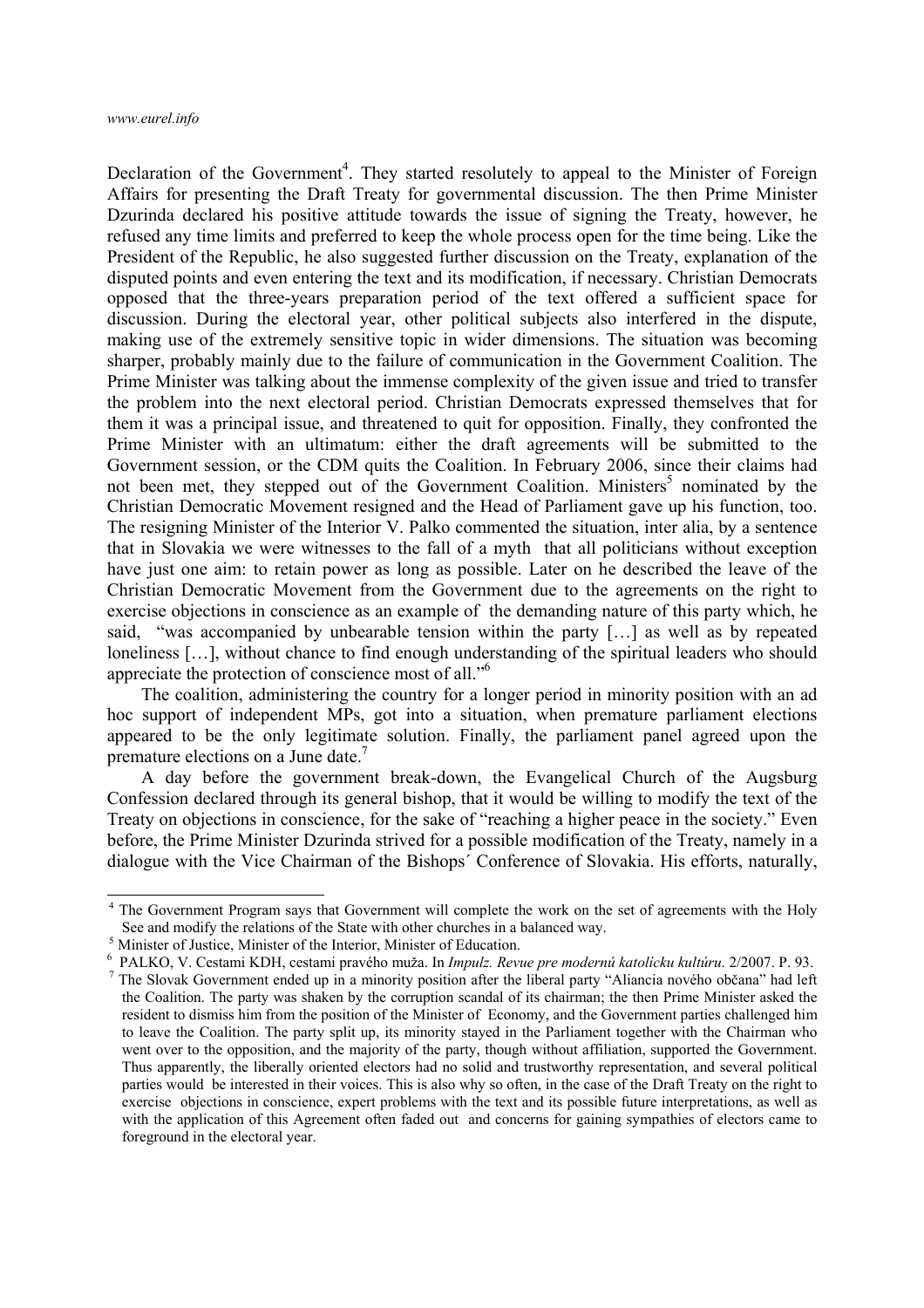Declaration of the Government<sup>4</sup>. They started resolutely to appeal to the Minister of Foreign Affairs for presenting the Draft Treaty for governmental discussion. The then Prime Minister Dzurinda declared his positive attitude towards the issue of signing the Treaty, however, he refused any time limits and preferred to keep the whole process open for the time being. Like the President of the Republic, he also suggested further discussion on the Treaty, explanation of the disputed points and even entering the text and its modification, if necessary. Christian Democrats opposed that the three-years preparation period of the text offered a sufficient space for discussion. During the electoral year, other political subjects also interfered in the dispute, making use of the extremely sensitive topic in wider dimensions. The situation was becoming sharper, probably mainly due to the failure of communication in the Government Coalition. The Prime Minister was talking about the immense complexity of the given issue and tried to transfer the problem into the next electoral period. Christian Democrats expressed themselves that for them it was a principal issue, and threatened to quit for opposition. Finally, they confronted the Prime Minister with an ultimatum: either the draft agreements will be submitted to the Government session, or the CDM quits the Coalition. In February 2006, since their claims had not been met, they stepped out of the Government Coalition. Ministers<sup>5</sup> nominated by the Christian Democratic Movement resigned and the Head of Parliament gave up his function, too. The resigning Minister of the Interior V. Palko commented the situation, inter alia, by a sentence that in Slovakia we were witnesses to the fall of a myth that all politicians without exception have just one aim: to retain power as long as possible. Later on he described the leave of the Christian Democratic Movement from the Government due to the agreements on the right to exercise objections in conscience as an example of the demanding nature of this party which, he said, "was accompanied by unbearable tension within the party […] as well as by repeated loneliness […], without chance to find enough understanding of the spiritual leaders who should appreciate the protection of conscience most of all."6

The coalition, administering the country for a longer period in minority position with an ad hoc support of independent MPs, got into a situation, when premature parliament elections appeared to be the only legitimate solution. Finally, the parliament panel agreed upon the premature elections on a June date.7

A day before the government break-down, the Evangelical Church of the Augsburg Confession declared through its general bishop, that it would be willing to modify the text of the Treaty on objections in conscience, for the sake of "reaching a higher peace in the society." Even before, the Prime Minister Dzurinda strived for a possible modification of the Treaty, namely in a dialogue with the Vice Chairman of the Bishops´ Conference of Slovakia. His efforts, naturally,

<sup>&</sup>lt;sup>4</sup> The Government Program says that Government will complete the work on the set of agreements with the Holy See and modify the relations of the State with other churches in a balanced way.

<sup>&</sup>lt;sup>5</sup> Minister of Justice, Minister of the Interior, Minister of Education.

<sup>6</sup> PALKO, V. Cestami KDH, cestami pravého muža. In *Impulz. Revue pre modernú katolícku kultúru*. 2/2007. P. 93. 7

<sup>&</sup>lt;sup>7</sup> The Slovak Government ended up in a minority position after the liberal party "Aliancia nového občana" had left the Coalition. The party was shaken by the corruption scandal of its chairman; the then Prime Minister asked the resident to dismiss him from the position of the Minister of Economy, and the Government parties challenged him to leave the Coalition. The party split up, its minority stayed in the Parliament together with the Chairman who went over to the opposition, and the majority of the party, though without affiliation, supported the Government. Thus apparently, the liberally oriented electors had no solid and trustworthy representation, and several political parties would be interested in their voices. This is also why so often, in the case of the Draft Treaty on the right to exercise objections in conscience, expert problems with the text and its possible future interpretations, as well as with the application of this Agreement often faded out and concerns for gaining sympathies of electors came to foreground in the electoral year.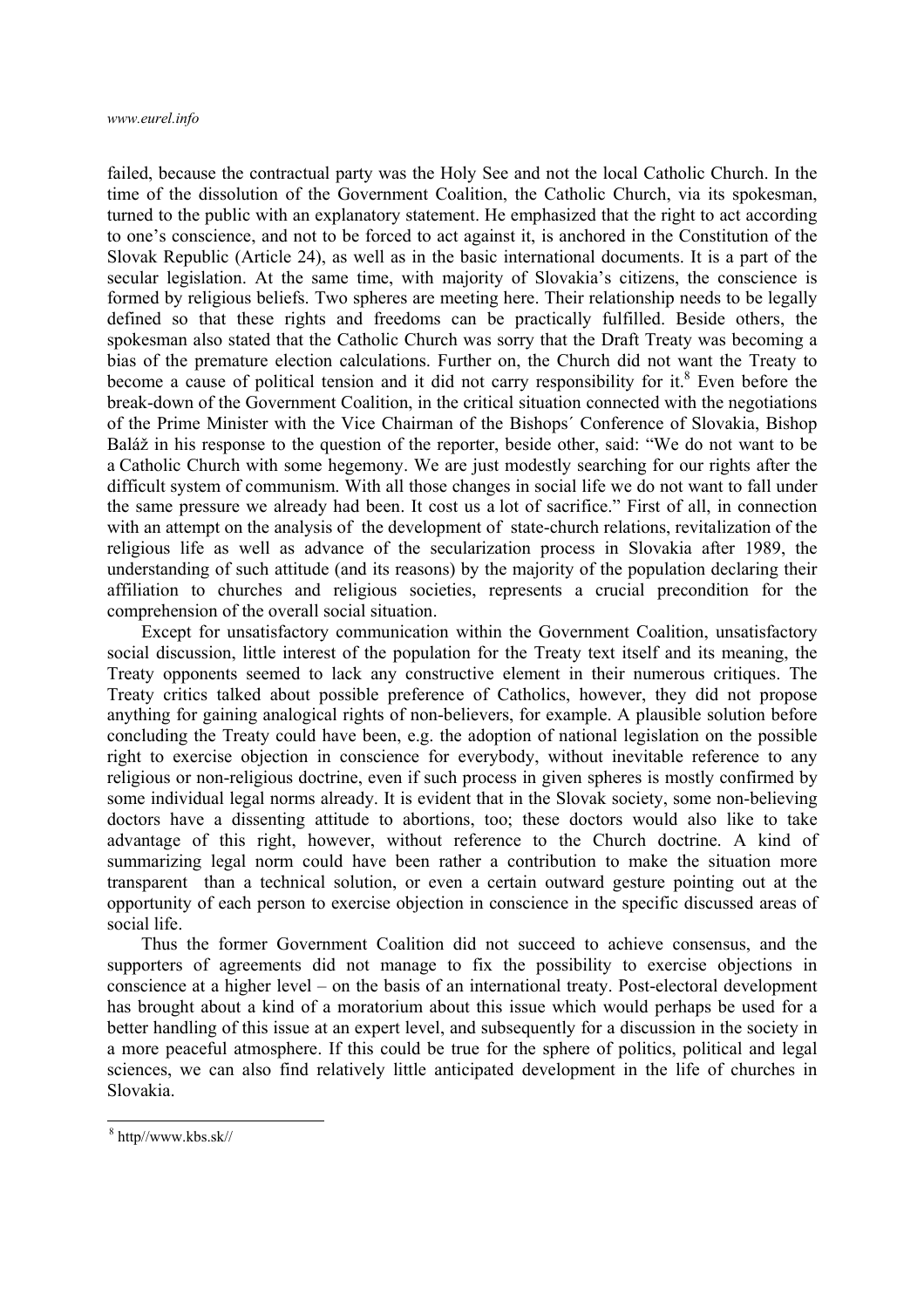failed, because the contractual party was the Holy See and not the local Catholic Church. In the time of the dissolution of the Government Coalition, the Catholic Church, via its spokesman, turned to the public with an explanatory statement. He emphasized that the right to act according to one's conscience, and not to be forced to act against it, is anchored in the Constitution of the Slovak Republic (Article 24), as well as in the basic international documents. It is a part of the secular legislation. At the same time, with majority of Slovakia's citizens, the conscience is formed by religious beliefs. Two spheres are meeting here. Their relationship needs to be legally defined so that these rights and freedoms can be practically fulfilled. Beside others, the spokesman also stated that the Catholic Church was sorry that the Draft Treaty was becoming a bias of the premature election calculations. Further on, the Church did not want the Treaty to become a cause of political tension and it did not carry responsibility for it.<sup>8</sup> Even before the break-down of the Government Coalition, in the critical situation connected with the negotiations of the Prime Minister with the Vice Chairman of the Bishops´ Conference of Slovakia, Bishop Baláž in his response to the question of the reporter, beside other, said: "We do not want to be a Catholic Church with some hegemony. We are just modestly searching for our rights after the difficult system of communism. With all those changes in social life we do not want to fall under the same pressure we already had been. It cost us a lot of sacrifice." First of all, in connection with an attempt on the analysis of the development of state-church relations, revitalization of the religious life as well as advance of the secularization process in Slovakia after 1989, the understanding of such attitude (and its reasons) by the majority of the population declaring their affiliation to churches and religious societies, represents a crucial precondition for the comprehension of the overall social situation.

Except for unsatisfactory communication within the Government Coalition, unsatisfactory social discussion, little interest of the population for the Treaty text itself and its meaning, the Treaty opponents seemed to lack any constructive element in their numerous critiques. The Treaty critics talked about possible preference of Catholics, however, they did not propose anything for gaining analogical rights of non-believers, for example. A plausible solution before concluding the Treaty could have been, e.g. the adoption of national legislation on the possible right to exercise objection in conscience for everybody, without inevitable reference to any religious or non-religious doctrine, even if such process in given spheres is mostly confirmed by some individual legal norms already. It is evident that in the Slovak society, some non-believing doctors have a dissenting attitude to abortions, too; these doctors would also like to take advantage of this right, however, without reference to the Church doctrine. A kind of summarizing legal norm could have been rather a contribution to make the situation more transparent than a technical solution, or even a certain outward gesture pointing out at the opportunity of each person to exercise objection in conscience in the specific discussed areas of social life.

Thus the former Government Coalition did not succeed to achieve consensus, and the supporters of agreements did not manage to fix the possibility to exercise objections in conscience at a higher level – on the basis of an international treaty. Post-electoral development has brought about a kind of a moratorium about this issue which would perhaps be used for a better handling of this issue at an expert level, and subsequently for a discussion in the society in a more peaceful atmosphere. If this could be true for the sphere of politics, political and legal sciences, we can also find relatively little anticipated development in the life of churches in Slovakia.

1

<sup>8</sup> http//www.kbs.sk//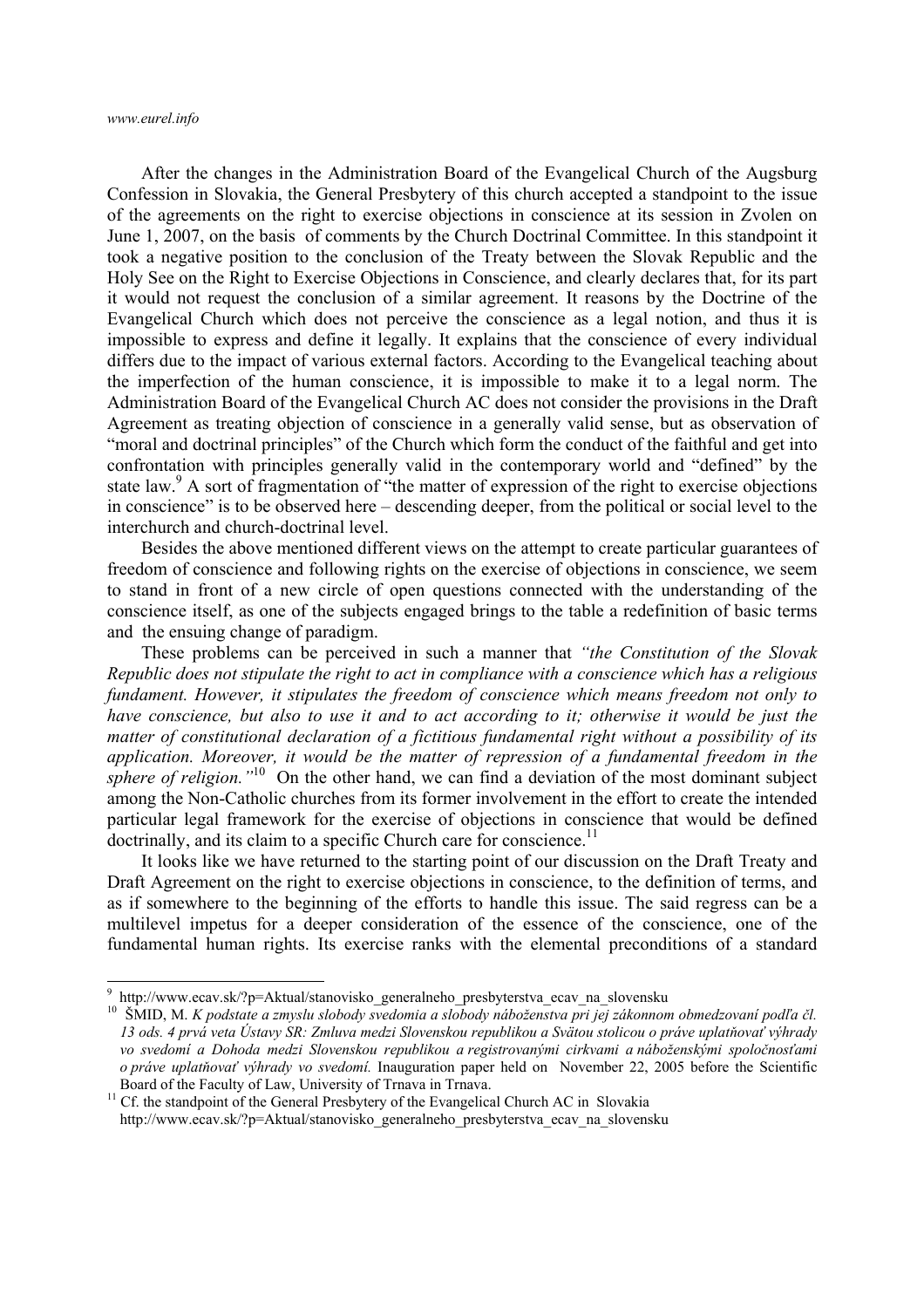*www.eurel.info* 

1

After the changes in the Administration Board of the Evangelical Church of the Augsburg Confession in Slovakia, the General Presbytery of this church accepted a standpoint to the issue of the agreements on the right to exercise objections in conscience at its session in Zvolen on June 1, 2007, on the basis of comments by the Church Doctrinal Committee. In this standpoint it took a negative position to the conclusion of the Treaty between the Slovak Republic and the Holy See on the Right to Exercise Objections in Conscience, and clearly declares that, for its part it would not request the conclusion of a similar agreement. It reasons by the Doctrine of the Evangelical Church which does not perceive the conscience as a legal notion, and thus it is impossible to express and define it legally. It explains that the conscience of every individual differs due to the impact of various external factors. According to the Evangelical teaching about the imperfection of the human conscience, it is impossible to make it to a legal norm. The Administration Board of the Evangelical Church AC does not consider the provisions in the Draft Agreement as treating objection of conscience in a generally valid sense, but as observation of "moral and doctrinal principles" of the Church which form the conduct of the faithful and get into confrontation with principles generally valid in the contemporary world and "defined" by the state law.<sup>9</sup> A sort of fragmentation of "the matter of expression of the right to exercise objections in conscience" is to be observed here – descending deeper, from the political or social level to the interchurch and church-doctrinal level.

Besides the above mentioned different views on the attempt to create particular guarantees of freedom of conscience and following rights on the exercise of objections in conscience, we seem to stand in front of a new circle of open questions connected with the understanding of the conscience itself, as one of the subjects engaged brings to the table a redefinition of basic terms and the ensuing change of paradigm.

These problems can be perceived in such a manner that *"the Constitution of the Slovak Republic does not stipulate the right to act in compliance with a conscience which has a religious fundament. However, it stipulates the freedom of conscience which means freedom not only to have conscience, but also to use it and to act according to it; otherwise it would be just the matter of constitutional declaration of a fictitious fundamental right without a possibility of its application. Moreover, it would be the matter of repression of a fundamental freedom in the sphere of religion.*"<sup>10</sup> On the other hand, we can find a deviation of the most dominant subject among the Non-Catholic churches from its former involvement in the effort to create the intended particular legal framework for the exercise of objections in conscience that would be defined doctrinally, and its claim to a specific Church care for conscience.<sup>11</sup>

It looks like we have returned to the starting point of our discussion on the Draft Treaty and Draft Agreement on the right to exercise objections in conscience, to the definition of terms, and as if somewhere to the beginning of the efforts to handle this issue. The said regress can be a multilevel impetus for a deeper consideration of the essence of the conscience, one of the fundamental human rights. Its exercise ranks with the elemental preconditions of a standard

<sup>&</sup>lt;sup>9</sup> http://www.ecav.sk/?p=Aktual/stanovisko\_generalneho\_presbyterstva\_ecav\_na\_slovensku

<sup>10</sup> ŠMID, M. *K podstate a zmyslu slobody svedomia a slobody náboženstva pri jej zákonnom obmedzovaní podľa čl. 13 ods. 4 prvá veta Ústavy SR: Zmluva medzi Slovenskou republikou a Svätou stolicou o práve uplatňovať výhrady vo svedomí a Dohoda medzi Slovenskou republikou a registrovanými cirkvami a náboženskými spoločnosťami o práve uplatňovať výhrady vo svedomí.* Inauguration paper held on November 22, 2005 before the Scientific Board of the Faculty of Law, University of Trnava in Trnava.<br><sup>11</sup> Cf. the standpoint of the General Presbytery of the Evangelical Church AC in Slovakia

http://www.ecav.sk/?p=Aktual/stanovisko\_generalneho\_presbyterstva\_ecav\_na\_slovensku